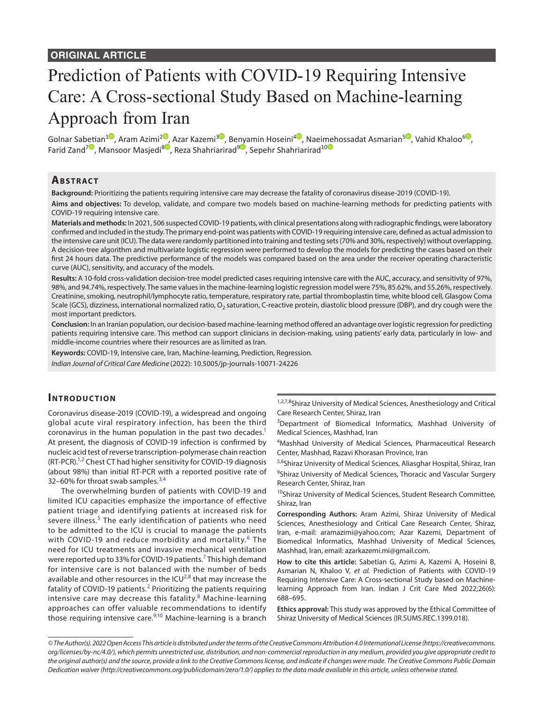# Prediction of Patients with COVID-19 Requiring Intensive Care: A Cross-sectional Study Based on Machine-learning Approach from Iran

Golnar Sa[beti](https://orcid.org/0000-0003-3489-3372)an<sup>[1](https://orcid.org/0000-0001-8764-2150)0</sup>, Aram Azimi<sup>[2](https://orcid.org/0000-0003-2730-5552)0</sup>[,](https://orcid.org/0000-0001-6091-8890
) Azar Kazemi<sup>30</sup>, Be[nya](https://orcid.org/0000-0001-5454-495X)min Hoseini<sup>[4](https://orcid.org/0000-0002-0355-6181)0</sup>, Naei[meh](https://orcid.org/0000-0002-9567-5996)ossadat Asmarian<sup>50</sup>, Vahid Khaloo<sup>[6](https://orcid.org/0000-0003-1932-0592)0</sup>, Farid Zand<sup>7</sup>, Mansoor Masjedi<sup>[8](https://orcid.org/0000-0001-6175-9289)</sup>, Reza Shahriarirad<sup>9</sup>, Sepehr Shahriarirad<sup>10</sup>

# **ABSTRACT**

**Background:** Prioritizing the patients requiring intensive care may decrease the fatality of coronavirus disease-2019 (COVID-19).

**Aims and objectives:** To develop, validate, and compare two models based on machine-learning methods for predicting patients with COVID-19 requiring intensive care.

**Materials and methods:** In 2021, 506 suspected COVID-19 patients, with clinical presentations along with radiographic findings, were laboratory confirmed and included in the study. The primary end-point was patients with COVID-19 requiring intensive care, defined as actual admission to the intensive care unit (ICU). The data were randomly partitioned into training and testing sets (70% and 30%, respectively) without overlapping. A decision-tree algorithm and multivariate logistic regression were performed to develop the models for predicting the cases based on their first 24 hours data. The predictive performance of the models was compared based on the area under the receiver operating characteristic curve (AUC), sensitivity, and accuracy of the models.

**Results:** A 10-fold cross-validation decision-tree model predicted cases requiring intensive care with the AUC, accuracy, and sensitivity of 97%, 98%, and 94.74%, respectively. The same values in the machine-learning logistic regression model were 75%, 85.62%, and 55.26%, respectively. Creatinine, smoking, neutrophil/lymphocyte ratio, temperature, respiratory rate, partial thromboplastin time, white blood cell, Glasgow Coma Scale (GCS), dizziness, international normalized ratio,  $O_2$  saturation, C-reactive protein, diastolic blood pressure (DBP), and dry cough were the most important predictors.

**Conclusion:** In an Iranian population, our decision-based machine-learning method offered an advantage over logistic regression for predicting patients requiring intensive care. This method can support clinicians in decision-making, using patients' early data, particularly in low- and middle-income countries where their resources are as limited as Iran.

**Keywords:** COVID-19, Intensive care, Iran, Machine-learning, Prediction, Regression. *Indian Journal of Critical Care Medicine* (2022): 10.5005/jp-journals-10071-24226

# **INTRODUCTION**

Coronavirus disease-2019 (COVID-19), a widespread and ongoing global acute viral respiratory infection, has been the third coronavirus in the human population in the past two decades.<sup>1</sup> At present, the diagnosis of COVID-19 infection is confirmed by nucleic acid test of reverse transcription-polymerase chain reaction (RT-PCR).<sup>1,[2](#page-6-1)</sup> Chest CT had higher sensitivity for COVID-19 diagnosis (about 98%) than initial RT-PCR with a reported positive rate of [3](#page-6-2)2–60% for throat swab samples. $3,4$  $3,4$ 

The overwhelming burden of patients with COVID-19 and limited ICU capacities emphasize the importance of effective patient triage and identifying patients at increased risk for severe illness.<sup>[5](#page-6-4)</sup> The early identification of patients who need to be admitted to the ICU is crucial to manage the patients with COVID-19 and reduce morbidity and mortality.<sup>[6](#page-6-5)</sup> The need for ICU treatments and invasive mechanical ventilation were reported up to 33% for COVID-19 patients.<sup>[7](#page-6-6)</sup> This high demand for intensive care is not balanced with the number of beds available and other resources in the ICU<sup>[2](#page-6-1),[8](#page-6-7)</sup> that may increase the fatality of COVID-19 patients.<sup>[2](#page-6-1)</sup> Prioritizing the patients requiring intensive care may decrease this fatality.<sup>[8](#page-6-7)</sup> Machine-learning approaches can offer valuable recommendations to identify those requiring intensive care.<sup>[9,](#page-6-8)[10](#page-6-9)</sup> Machine-learning is a branch

1,2,7,8Shiraz University of Medical Sciences, Anesthesiology and Critical Care Research Center, Shiraz, Iran

<sup>3</sup>Department of Biomedical Informatics, Mashhad University of Medical Sciences, Mashhad, Iran

4 Mashhad University of Medical Sciences, Pharmaceutical Research Center, Mashhad, Razavi Khorasan Province, Iran

5,6Shiraz University of Medical Sciences, Aliasghar Hospital, Shiraz, Iran <sup>9</sup>Shiraz University of Medical Sciences, Thoracic and Vascular Surgery Research Center, Shiraz, Iran

<sup>10</sup>Shiraz University of Medical Sciences, Student Research Committee, Shiraz, Iran

**Corresponding Authors:** Aram Azimi, Shiraz University of Medical Sciences, Anesthesiology and Critical Care Research Center, Shiraz, Iran, e-mail: aramazimi@yahoo.com; Azar Kazemi, Department of Biomedical Informatics, Mashhad University of Medical Sciences, Mashhad, Iran, email: azarkazemi.mi@gmail.com.

**How to cite this article:** Sabetian G, Azimi A, Kazemi A, Hoseini B, Asmarian N, Khaloo V, *et al.* Prediction of Patients with COVID-19 Requiring Intensive Care: A Cross-sectional Study based on Machinelearning Approach from Iran. Indian J Crit Care Med 2022;26(6): 688–695.

**Ethics approval:** This study was approved by the Ethical Committee of Shiraz University of Medical Sciences (IR.SUMS.REC.1399.018).

*<sup>©</sup> The Author(s). 2022 Open Access This article is distributed under the terms of the Creative Commons Attribution 4.0 International License ([https://creativecommons.](https://creativecommons.org/licenses/by-nc/4.0/) [org/licenses/by-nc/4.0/](https://creativecommons.org/licenses/by-nc/4.0/)), which permits unrestricted use, distribution, and non-commercial reproduction in any medium, provided you give appropriate credit to the original author(s) and the source, provide a link to the Creative Commons license, and indicate if changes were made. The Creative Commons Public Domain Dedication waiver ([http://creativecommons.org/publicdomain/zero/1.0/\)](http://creativecommons.org/publicdomain/zero/1.0/) applies to the data made available in this article, unless otherwise stated.*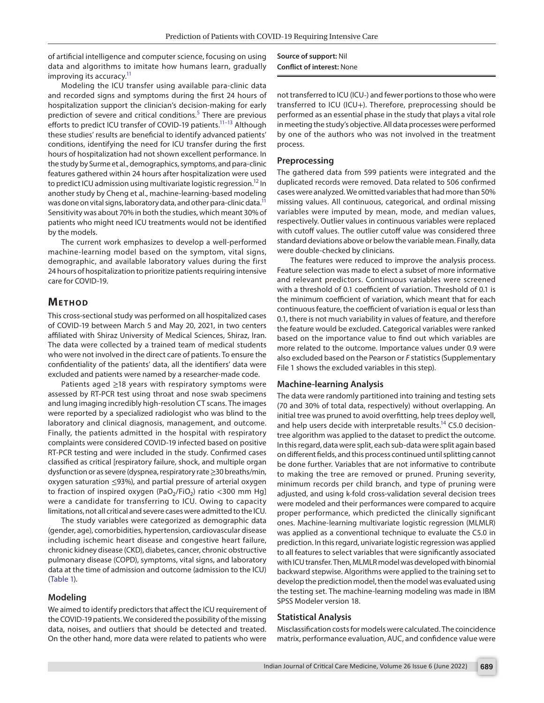of artificial intelligence and computer science, focusing on using data and algorithms to imitate how humans learn, gradually improving its accuracy.<sup>11</sup>

Modeling the ICU transfer using available para-clinic data and recorded signs and symptoms during the first 24 hours of hospitalization support the clinician's decision-making for early prediction of severe and critical conditions.<sup>[5](#page-6-4)</sup> There are previous efforts to predict ICU transfer of COVID-19 patients.<sup>11-13</sup> Although these studies' results are beneficial to identify advanced patients' conditions, identifying the need for ICU transfer during the first hours of hospitalization had not shown excellent performance. In the study by Surme et al., demographics, symptoms, and para-clinic features gathered within 24 hours after hospitalization were used to predict ICU admission using multivariate logistic regression.<sup>12</sup> In another study by Cheng et al., machine-learning-based modeling was done on vital signs, laboratory data, and other para-clinic data.<sup>11</sup> Sensitivity was about 70% in both the studies, which meant 30% of patients who might need ICU treatments would not be identified by the models.

The current work emphasizes to develop a well-performed machine-learning model based on the symptom, vital signs, demographic, and available laboratory values during the first 24 hours of hospitalization to prioritize patients requiring intensive care for COVID-19.

## **METHOD**

This cross-sectional study was performed on all hospitalized cases of COVID-19 between March 5 and May 20, 2021, in two centers affiliated with Shiraz University of Medical Sciences, Shiraz, Iran. The data were collected by a trained team of medical students who were not involved in the direct care of patients. To ensure the confidentiality of the patients' data, all the identifiers' data were excluded and patients were named by a researcher-made code.

Patients aged ≥18 years with respiratory symptoms were assessed by RT-PCR test using throat and nose swab specimens and lung imaging incredibly high-resolution CT scans. The images were reported by a specialized radiologist who was blind to the laboratory and clinical diagnosis, management, and outcome. Finally, the patients admitted in the hospital with respiratory complaints were considered COVID-19 infected based on positive RT-PCR testing and were included in the study. Confirmed cases classified as critical [respiratory failure, shock, and multiple organ dysfunction or as severe (dyspnea, respiratory rate ≥30 breaths/min, oxygen saturation ≤93%), and partial pressure of arterial oxygen to fraction of inspired oxygen (PaO<sub>2</sub>/FiO<sub>2</sub>) ratio <300 mm Hg] were a candidate for transferring to ICU. Owing to capacity limitations, not all critical and severe cases were admitted to the ICU.

The study variables were categorized as demographic data (gender, age), comorbidities, hypertension, cardiovascular disease including ischemic heart disease and congestive heart failure, chronic kidney disease (CKD), diabetes, cancer, chronic obstructive pulmonary disease (COPD), symptoms, vital signs, and laboratory data at the time of admission and outcome (admission to the ICU) ([Table 1\)](#page-2-0).

#### **Modeling**

We aimed to identify predictors that affect the ICU requirement of the COVID-19 patients. We considered the possibility of the missing data, noises, and outliers that should be detected and treated. On the other hand, more data were related to patients who were

**Source of support:** Nil **Conflict of interest:** None

not transferred to ICU (ICU-) and fewer portions to those who were transferred to ICU (ICU+). Therefore, preprocessing should be performed as an essential phase in the study that plays a vital role in meeting the study's objective. All data processes were performed by one of the authors who was not involved in the treatment process.

## **Preprocessing**

The gathered data from 599 patients were integrated and the duplicated records were removed. Data related to 506 confirmed cases were analyzed. We omitted variables that had more than 50% missing values. All continuous, categorical, and ordinal missing variables were imputed by mean, mode, and median values, respectively. Outlier values in continuous variables were replaced with cutoff values. The outlier cutoff value was considered three standard deviations above or below the variable mean. Finally, data were double-checked by clinicians.

The features were reduced to improve the analysis process. Feature selection was made to elect a subset of more informative and relevant predictors. Continuous variables were screened with a threshold of 0.1 coefficient of variation. Threshold of 0.1 is the minimum coefficient of variation, which meant that for each continuous feature, the coefficient of variation is equal or less than 0.1, there is not much variability in values of feature, and therefore the feature would be excluded. Categorical variables were ranked based on the importance value to find out which variables are more related to the outcome. Importance values under 0.9 were also excluded based on the Pearson or *F* statistics (Supplementary File 1 shows the excluded variables in this step).

## **Machine-learning Analysis**

The data were randomly partitioned into training and testing sets (70 and 30% of total data, respectively) without overlapping. An initial tree was pruned to avoid overfitting, help trees deploy well, and help users decide with interpretable results.<sup>14</sup> C5.0 decisiontree algorithm was applied to the dataset to predict the outcome. In this regard, data were split, each sub-data were split again based on different fields, and this process continued until splitting cannot be done further. Variables that are not informative to contribute to making the tree are removed or pruned. Pruning severity, minimum records per child branch, and type of pruning were adjusted, and using k-fold cross-validation several decision trees were modeled and their performances were compared to acquire proper performance, which predicted the clinically significant ones. Machine-learning multivariate logistic regression (MLMLR) was applied as a conventional technique to evaluate the C5.0 in prediction. In this regard, univariate logistic regression was applied to all features to select variables that were significantly associated with ICU transfer. Then, MLMLR model was developed with binomial backward stepwise. Algorithms were applied to the training set to develop the prediction model, then the model was evaluated using the testing set. The machine-learning modeling was made in IBM SPSS Modeler version 18.

### **Statistical Analysis**

Misclassification costs for models were calculated. The coincidence matrix, performance evaluation, AUC, and confidence value were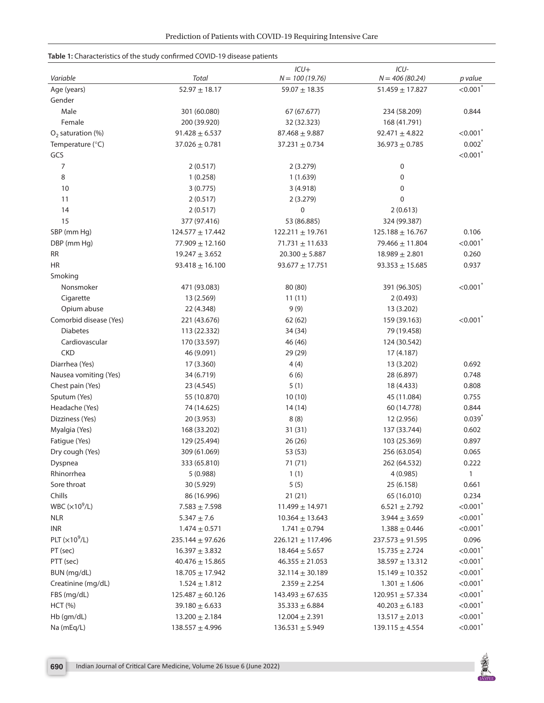# <span id="page-2-0"></span>**Table 1:** Characteristics of the study confirmed COVID-19 disease patients

|                        |                      | $ICU+$                | ICU-                 |          |
|------------------------|----------------------|-----------------------|----------------------|----------|
| Variable               | Total                | $N = 100(19.76)$      | $N = 406(80.24)$     | p value  |
| Age (years)            | $52.97 \pm 18.17$    | 59.07 $\pm$ 18.35     | $51.459 \pm 17.827$  | < 0.001  |
| Gender                 |                      |                       |                      |          |
| Male                   | 301 (60.080)         | 67 (67.677)           | 234 (58.209)         | 0.844    |
| Female                 | 200 (39.920)         | 32 (32.323)           | 168 (41.791)         |          |
| $O_2$ saturation (%)   | $91.428 \pm 6.537$   | $87.468 \pm 9.887$    | $92.471 \pm 4.822$   | < 0.001  |
| Temperature (°C)       | $37.026 \pm 0.781$   | $37.231 \pm 0.734$    | $36.973 \pm 0.785$   | $0.002*$ |
| GCS                    |                      |                       |                      | < 0.001  |
| 7                      | 2(0.517)             | 2(3.279)              | $\boldsymbol{0}$     |          |
| 8                      | 1(0.258)             | 1(1.639)              | 0                    |          |
| 10                     | 3(0.775)             | 3(4.918)              | 0                    |          |
| 11                     | 2(0.517)             | 2(3.279)              | $\mathbf 0$          |          |
| 14                     | 2(0.517)             | $\pmb{0}$             | 2(0.613)             |          |
| 15                     | 377 (97.416)         | 53 (86.885)           | 324 (99.387)         |          |
| SBP (mm Hg)            | $124.577 \pm 17.442$ | $122.211 \pm 19.761$  | $125.188 \pm 16.767$ | 0.106    |
| DBP (mm Hg)            | 77.909 $\pm$ 12.160  | $71.731 \pm 11.633$   | 79.466 $\pm$ 11.804  | < 0.001  |
| <b>RR</b>              | $19.247 \pm 3.652$   | $20.300 \pm 5.887$    | $18.989 \pm 2.801$   | 0.260    |
| HR                     | $93.418 \pm 16.100$  | $93.677 \pm 17.751$   | $93.353 \pm 15.685$  | 0.937    |
| Smoking                |                      |                       |                      |          |
| Nonsmoker              | 471 (93.083)         | 80 (80)               | 391 (96.305)         | < 0.001  |
| Cigarette              | 13 (2.569)           | 11(11)                | 2(0.493)             |          |
| Opium abuse            | 22 (4.348)           | 9(9)                  | 13 (3.202)           |          |
| Comorbid disease (Yes) | 221 (43.676)         | 62(62)                | 159 (39.163)         | < 0.001  |
| <b>Diabetes</b>        | 113 (22.332)         | 34 (34)               | 79 (19.458)          |          |
| Cardiovascular         | 170 (33.597)         | 46 (46)               | 124 (30.542)         |          |
| <b>CKD</b>             | 46 (9.091)           | 29 (29)               | 17 (4.187)           |          |
| Diarrhea (Yes)         | 17 (3.360)           | 4(4)                  | 13 (3.202)           | 0.692    |
| Nausea vomiting (Yes)  | 34 (6.719)           | 6(6)                  | 28 (6.897)           | 0.748    |
| Chest pain (Yes)       | 23 (4.545)           | 5(1)                  | 18 (4.433)           | 0.808    |
| Sputum (Yes)           | 55 (10.870)          | 10(10)                | 45 (11.084)          | 0.755    |
| Headache (Yes)         | 74 (14.625)          | 14 (14)               | 60 (14.778)          | 0.844    |
| Dizziness (Yes)        | 20 (3.953)           | 8(8)                  | 12 (2.956)           | 0.039    |
| Myalgia (Yes)          | 168 (33.202)         | 31 (31)               | 137 (33.744)         | 0.602    |
| Fatigue (Yes)          | 129 (25.494)         | 26(26)                | 103 (25.369)         | 0.897    |
| Dry cough (Yes)        | 309 (61.069)         | 53 (53)               | 256 (63.054)         | 0.065    |
| Dyspnea                | 333 (65.810)         | 71(71)                | 262 (64.532)         | 0.222    |
| Rhinorrhea             | 5(0.988)             | 1(1)                  | 4(0.985)             | 1        |
| Sore throat            | 30 (5.929)           | 5(5)                  | 25 (6.158)           | 0.661    |
| Chills                 | 86 (16.996)          | 21(21)                | 65 (16.010)          | 0.234    |
| WBC $(x10^9/L)$        | $7.583 \pm 7.598$    | $11.499 \pm 14.971$   | $6.521 \pm 2.792$    | < 0.001  |
| <b>NLR</b>             | $5.347 \pm 7.6$      | $10.364 \pm 13.643$   | $3.944 \pm 3.659$    | < 0.001  |
| <b>INR</b>             | $1.474 \pm 0.571$    | $1.741 \pm 0.794$     | $1.388 \pm 0.446$    | < 0.001  |
| PLT $(x10^9/L)$        | 235.144 $\pm$ 97.626 | $226.121 \pm 117.496$ | $237.573 \pm 91.595$ | 0.096    |
| PT (sec)               | $16.397 \pm 3.832$   | $18.464 \pm 5.657$    | $15.735 \pm 2.724$   | < 0.001  |
| PTT (sec)              | $40.476 \pm 15.865$  | $46.355 \pm 21.053$   | 38.597 $\pm$ 13.312  | < 0.001  |
| BUN (mg/dL)            | $18.705 \pm 17.942$  | $32.114 \pm 30.189$   | $15.149 \pm 10.352$  | < 0.001  |
| Creatinine (mg/dL)     | $1.524 \pm 1.812$    | $2.359 \pm 2.254$     | $1.301 \pm 1.606$    | < 0.001  |
| FBS (mg/dL)            | $125.487 \pm 60.126$ | $143.493 \pm 67.635$  | $120.951 \pm 57.334$ | < 0.001  |
| <b>HCT</b> (%)         | $39.180 \pm 6.633$   | $35.333 \pm 6.884$    | $40.203 \pm 6.183$   | < 0.001  |
| Hb (gm/dL)             | $13.200 \pm 2.184$   | $12.004 \pm 2.391$    | $13.517 \pm 2.013$   | < 0.001  |
| Na (mEq/L)             | $138.557 \pm 4.996$  | $136.531 \pm 5.949$   | $139.115 \pm 4.554$  | < 0.001  |

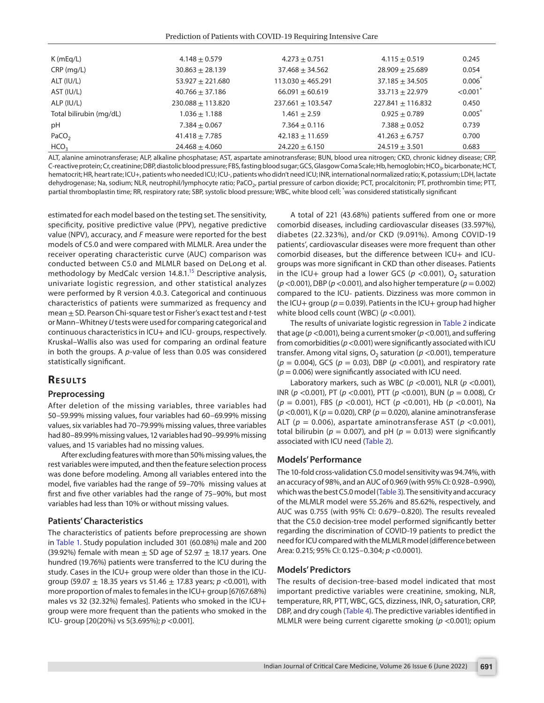| Prediction of Patients with COVID-19 Requiring Intensive Care |  |
|---------------------------------------------------------------|--|
|---------------------------------------------------------------|--|

| HCO <sub>3</sub>        | $24.468 \pm 4.060$   | $24.220 \pm 6.150$    | $24.519 \pm 3.501$    | 0.683                  |
|-------------------------|----------------------|-----------------------|-----------------------|------------------------|
| PaCO <sub>2</sub>       | $41.418 \pm 7.785$   | $42.183 \pm 11.659$   | $41.263 + 6.757$      | 0.700                  |
| pH                      | $7.384 + 0.067$      | $7.364 + 0.116$       | $7.388 + 0.052$       | 0.739                  |
| Total bilirubin (mg/dL) | $1.036 \pm 1.188$    | $1.461 \pm 2.59$      | $0.925 + 0.789$       | $0.005^*$              |
| ALP (IU/L)              | $230.088 + 113.820$  | $237.661 + 103.547$   | $227.841 \pm 116.832$ | 0.450                  |
| AST (IU/L)              | $40.766 + 37.186$    | $66.091 + 60.619$     | $33.713 + 22.979$     | $< 0.001$ <sup>*</sup> |
| ALT (IU/L)              | $53.927 \pm 221.680$ | $113.030 \pm 465.291$ | $37.185 \pm 34.505$   | $0.006^*$              |
| $CRP$ (mg/L)            | $30.863 \pm 28.139$  | $37.468 \pm 34.562$   | $28.909 \pm 25.689$   | 0.054                  |
| K(mEq/L)                | $4.148 \pm 0.579$    | $4.273 \pm 0.751$     | $4.115 \pm 0.519$     | 0.245                  |
|                         |                      |                       |                       |                        |

ALT, alanine aminotransferase; ALP, alkaline phosphatase; AST, aspartate aminotransferase; BUN, blood urea nitrogen; CKD, chronic kidney disease; CRP, C-reactive protein; Cr, creatinine; DBP, diastolic blood pressure; FBS, fasting blood sugar; GCS, Glasgow Coma Scale; Hb, hemoglobin; HCO<sub>3</sub>, bicarbonate; HCT, hematocrit; HR, heart rate; ICU+, patients who needed ICU; ICU-, patients who didn't need ICU; INR, international normalized ratio; K, potassium; LDH, lactate dehydrogenase; Na, sodium; NLR, neutrophil/lymphocyte ratio; PaCO<sub>2</sub>, partial pressure of carbon dioxide; PCT, procalcitonin; PT, prothrombin time; PTT, partial thromboplastin time; RR, respiratory rate; SBP, systolic blood pressure; WBC, white blood cell; \* was considered statistically significant

estimated for each model based on the testing set. The sensitivity, specificity, positive predictive value (PPV), negative predictive value (NPV), accuracy, and *F* measure were reported for the best models of C5.0 and were compared with MLMLR. Area under the receiver operating characteristic curve (AUC) comparison was conducted between C5.0 and MLMLR based on DeLong et al. methodology by MedCalc version 14.8.1.<sup>15</sup> Descriptive analysis, univariate logistic regression, and other statistical analyzes were performed by R version 4.0.3. Categorical and continuous characteristics of patients were summarized as frequency and mean ± SD. Pearson Chi-square test or Fisher's exact test and *t*-test or Mann–Whitney *U* tests were used for comparing categorical and continuous characteristics in ICU+ and ICU- groups, respectively. Kruskal–Wallis also was used for comparing an ordinal feature in both the groups. A *p*-value of less than 0.05 was considered statistically significant.

# **RESULTS**

## **Preprocessing**

After deletion of the missing variables, three variables had 50–59.99% missing values, four variables had 60–69.99% missing values, six variables had 70–79.99% missing values, three variables had 80–89.99% missing values, 12 variables had 90–99.99% missing values, and 15 variables had no missing values.

After excluding features with more than 50% missing values, the rest variables were imputed, and then the feature selection process was done before modeling. Among all variables entered into the model, five variables had the range of 59–70% missing values at first and five other variables had the range of 75–90%, but most variables had less than 10% or without missing values.

## **Patients' Characteristics**

The characteristics of patients before preprocessing are shown in [Table 1](#page-2-0). Study population included 301 (60.08%) male and 200 (39.92%) female with mean  $\pm$  SD age of 52.97  $\pm$  18.17 years. One hundred (19.76%) patients were transferred to the ICU during the study. Cases in the ICU+ group were older than those in the ICUgroup (59.07 ± 18.35 years vs 51.46 ± 17.83 years; *p* <0.001), with more proportion of males to females in the ICU+ group [67(67.68%) males vs 32 (32.32%) females]. Patients who smoked in the ICU+ group were more frequent than the patients who smoked in the ICU- group [20(20%) vs 5(3.695%); *p* <0.001].

A total of 221 (43.68%) patients suffered from one or more comorbid diseases, including cardiovascular diseases (33.597%), diabetes (22.323%), and/or CKD (9.091%). Among COVID-19 patients', cardiovascular diseases were more frequent than other comorbid diseases, but the difference between ICU+ and ICUgroups was more significant in CKD than other diseases. Patients in the ICU+ group had a lower GCS ( $p$  <0.001), O<sub>2</sub> saturation (*p* <0.001), DBP (*p* <0.001), and also higher temperature (*p*= 0.002) compared to the ICU- patients. Dizziness was more common in the ICU+ group ( $p = 0.039$ ). Patients in the ICU+ group had higher white blood cells count (WBC) (*p* <0.001).

The results of univariate logistic regression in [Table 2](#page-4-0) indicate that age (*p* <0.001), being a current smoker (*p* <0.001), and suffering from comorbidities (*p* <0.001) were significantly associated with ICU transfer. Among vital signs,  $O_2$  saturation ( $p$  <0.001), temperature (*p* = 0.004), GCS (*p* = 0.03), DBP (*p* <0.001), and respiratory rate  $(p = 0.006)$  were significantly associated with ICU need.

Laboratory markers, such as WBC (*p* <0.001), NLR (*p* <0.001), INR (*p* <0.001), PT (*p* <0.001), PTT (*p* <0.001), BUN (*p* = 0.008), Cr (*p* = 0.001), FBS (*p* <0.001), HCT (*p* <0.001), Hb (*p* <0.001), Na (*p* <0.001), K (*p* = 0.020), CRP (*p* = 0.020), alanine aminotransferase ALT (*p* = 0.006), aspartate aminotransferase AST (*p* <0.001), total bilirubin ( $p = 0.007$ ), and pH ( $p = 0.013$ ) were significantly associated with ICU need ([Table 2](#page-4-0)).

## **Models' Performance**

The 10-fold cross-validation C5.0 model sensitivity was 94.74%, with an accuracy of 98%, and an AUC of 0.969 (with 95% CI: 0.928–0.990), which was the best C5.0 model ([Table 3\)](#page-5-0). The sensitivity and accuracy of the MLMLR model were 55.26% and 85.62%, respectively, and AUC was 0.755 (with 95% CI: 0.679–0.820). The results revealed that the C5.0 decision-tree model performed significantly better regarding the discrimination of COVID-19 patients to predict the need for ICU compared with the MLMLR model (difference between Area: 0.215; 95% CI: 0.125–0.304; *p* <0.0001).

## **Models' Predictors**

The results of decision-tree-based model indicated that most important predictive variables were creatinine, smoking, NLR, temperature, RR, PTT, WBC, GCS, dizziness, INR,  $O<sub>2</sub>$  saturation, CRP, DBP, and dry cough [\(Table 4\)](#page-5-1). The predictive variables identified in MLMLR were being current cigarette smoking (*p* <0.001); opium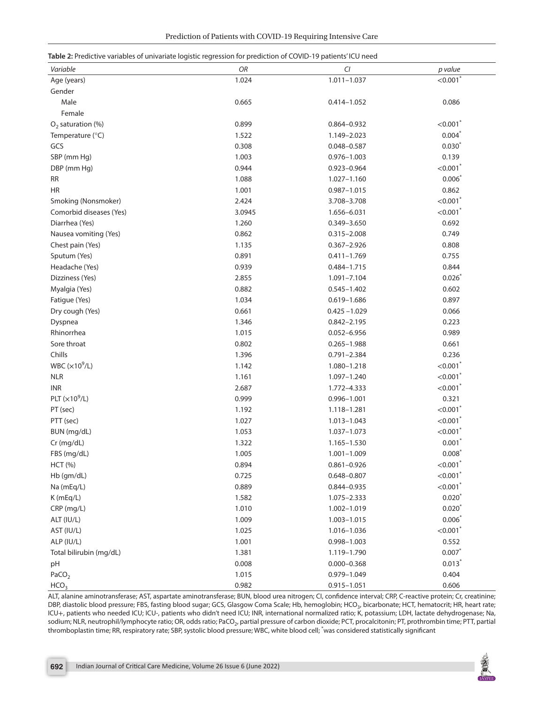| Prediction of Patients with COVID-19 Requiring Intensive Care |  |
|---------------------------------------------------------------|--|
|---------------------------------------------------------------|--|

<span id="page-4-0"></span>

| <b>Table 2:</b> Predictive variables of univariate logistic regression for prediction of COVID-19 patients' ICU need |  |
|----------------------------------------------------------------------------------------------------------------------|--|
|----------------------------------------------------------------------------------------------------------------------|--|

| Variable                                  | OR     | Cl                                 | p value           |
|-------------------------------------------|--------|------------------------------------|-------------------|
| Age (years)                               | 1.024  | $1.011 - 1.037$                    | < 0.001           |
| Gender                                    |        |                                    |                   |
| Male                                      | 0.665  | $0.414 - 1.052$                    | 0.086             |
| Female                                    |        |                                    |                   |
| $O_2$ saturation (%)                      | 0.899  | $0.864 - 0.932$                    | < 0.001           |
| Temperature (°C)                          | 1.522  | 1.149-2.023                        | $0.004*$          |
| GCS                                       | 0.308  | $0.048 - 0.587$                    | $0.030*$          |
| SBP (mm Hg)                               | 1.003  | $0.976 - 1.003$                    | 0.139             |
| DBP (mm Hg)                               | 0.944  | 0.923-0.964                        | < 0.001           |
| <b>RR</b>                                 | 1.088  | $1.027 - 1.160$                    | $0.006*$          |
| <b>HR</b>                                 | 1.001  | $0.987 - 1.015$                    | 0.862             |
| Smoking (Nonsmoker)                       | 2.424  | 3.708-3.708                        | < 0.001           |
| Comorbid diseases (Yes)                   | 3.0945 | 1.656-6.031                        | < 0.001           |
| Diarrhea (Yes)                            | 1.260  | 0.349-3.650                        | 0.692             |
|                                           | 0.862  | $0.315 - 2.008$                    | 0.749             |
| Nausea vomiting (Yes)<br>Chest pain (Yes) | 1.135  | $0.367 - 2.926$                    | 0.808             |
|                                           |        | $0.411 - 1.769$                    |                   |
| Sputum (Yes)                              | 0.891  |                                    | 0.755             |
| Headache (Yes)                            | 0.939  | 0.484-1.715                        | 0.844<br>$0.026*$ |
| Dizziness (Yes)                           | 2.855  | 1.091-7.104                        |                   |
| Myalgia (Yes)                             | 0.882  | $0.545 - 1.402$                    | 0.602             |
| Fatigue (Yes)                             | 1.034  | $0.619 - 1.686$<br>$0.425 - 1.029$ | 0.897             |
| Dry cough (Yes)                           | 0.661  |                                    | 0.066             |
| Dyspnea                                   | 1.346  | $0.842 - 2.195$                    | 0.223             |
| Rhinorrhea                                | 1.015  | $0.052 - 6.956$                    | 0.989             |
| Sore throat                               | 0.802  | $0.265 - 1.988$                    | 0.661             |
| Chills                                    | 1.396  | $0.791 - 2.384$                    | 0.236             |
| WBC $(\times 10^9/L)$                     | 1.142  | 1.080-1.218                        | < 0.001           |
| <b>NLR</b>                                | 1.161  | 1.097-1.240                        | < 0.001           |
| <b>INR</b>                                | 2.687  | 1.772-4.333                        | < 0.001           |
| PLT $(x10^9/L)$                           | 0.999  | $0.996 - 1.001$                    | 0.321             |
| PT (sec)                                  | 1.192  | 1.118-1.281                        | < 0.001           |
| PTT (sec)                                 | 1.027  | 1.013-1.043                        | < 0.001           |
| BUN (mg/dL)                               | 1.053  | 1.037-1.073                        | < 0.001           |
| Cr (mg/dL)                                | 1.322  | 1.165-1.530                        | 0.001             |
| FBS (mg/dL)                               | 1.005  | $1.001 - 1.009$                    | 0.008             |
| <b>HCT</b> (%)                            | 0.894  | $0.861 - 0.926$                    | < 0.001           |
| Hb (gm/dL)                                | 0.725  | 0.648-0.807                        | < 0.001           |
| Na (mEq/L)                                | 0.889  | 0.844-0.935                        | < 0.001           |
| K(mEq/L)                                  | 1.582  | 1.075-2.333                        | $0.020*$          |
| CRP (mg/L)                                | 1.010  | 1.002-1.019                        | $0.020*$          |
| ALT (IU/L)                                | 1.009  | 1.003-1.015                        | $0.006*$          |
| AST (IU/L)                                | 1.025  | 1.016-1.036                        | < 0.001           |
| ALP (IU/L)                                | 1.001  | 0.998-1.003                        | 0.552             |
| Total bilirubin (mg/dL)                   | 1.381  | 1.119-1.790                        | 0.007             |
| pH                                        | 0.008  | $0.000 - 0.368$                    | $0.013*$          |
| PaCO <sub>2</sub>                         | 1.015  | 0.979-1.049                        | 0.404             |
| HCO <sub>3</sub>                          | 0.982  | $0.915 - 1.051$                    | 0.606             |

ALT, alanine aminotransferase; AST, aspartate aminotransferase; BUN, blood urea nitrogen; CI, confidence interval; CRP, C-reactive protein; Cr, creatinine; DBP, diastolic blood pressure; FBS, fasting blood sugar; GCS, Glasgow Coma Scale; Hb, hemoglobin; HCO<sub>3</sub>, bicarbonate; HCT, hematocrit; HR, heart rate; ICU+, patients who needed ICU; ICU-, patients who didn't need ICU; INR, international normalized ratio; K, potassium; LDH, lactate dehydrogenase; Na, sodium; NLR, neutrophil/lymphocyte ratio; OR, odds ratio; PaCO<sub>2</sub>, partial pressure of carbon dioxide; PCT, procalcitonin; PT, prothrombin time; PTT, partial thromboplastin time; RR, respiratory rate; SBP, systolic blood pressure; WBC, white blood cell; \* was considered statistically significant

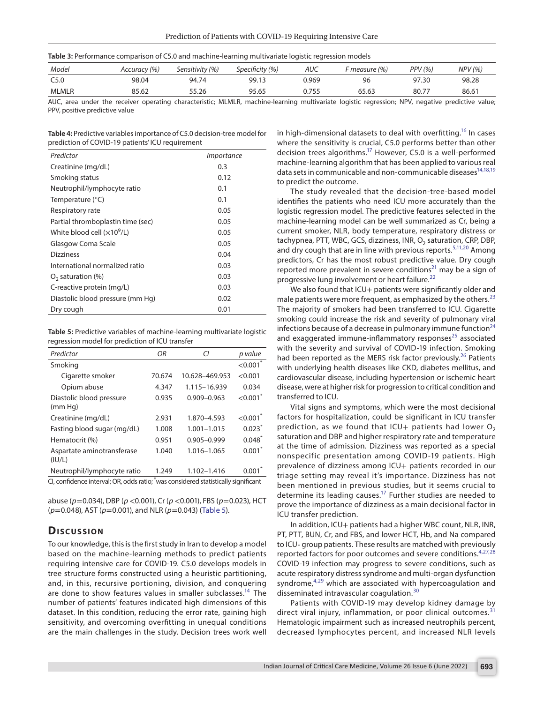<span id="page-5-0"></span>

| Table 3: Performance comparison of C5.0 and machine-learning multivariate logistic regression models |  |  |  |
|------------------------------------------------------------------------------------------------------|--|--|--|
|------------------------------------------------------------------------------------------------------|--|--|--|

| Model        | Accuracy (%) | Sensitivity (%) | Specificity (%) | AUC   | measure (%) = | PPV (%) | NPV(%)                                        |
|--------------|--------------|-----------------|-----------------|-------|---------------|---------|-----------------------------------------------|
| C5.0         | 98.04        | 94.74           | 99.13           | 0.969 | 96            | 97.30   | 98.28                                         |
| <b>MLMLR</b> | 85.62        | 55.26           | 95.65           | 0.755 | 65.63         | 80.77   | 86.61                                         |
|              |              |                 |                 |       |               |         | the property of the control of the control of |

AUC, area under the receiver operating characteristic; MLMLR, machine-learning multivariate logistic regression; NPV, negative predictive value; PPV, positive predictive value

<span id="page-5-1"></span>**Table 4:** Predictive variables importance of C5.0 decision-tree model for prediction of COVID-19 patients' ICU requirement

| Predictor                         | Importance |
|-----------------------------------|------------|
| Creatinine (mg/dL)                | 0.3        |
| Smoking status                    | 0.12       |
| Neutrophil/lymphocyte ratio       | 0.1        |
| Temperature $(^{\circ}C)$         | 0.1        |
| Respiratory rate                  | 0.05       |
| Partial thromboplastin time (sec) | 0.05       |
| White blood cell $(x10^9/L)$      | 0.05       |
| Glasgow Coma Scale                | 0.05       |
| <b>Dizziness</b>                  | 0.04       |
| International normalized ratio    | 0.03       |
| $O2$ saturation (%)               | 0.03       |
| C-reactive protein (mg/L)         | 0.03       |
| Diastolic blood pressure (mm Hq)  | 0.02       |
| Dry cough                         | 0.01       |

<span id="page-5-2"></span>**Table 5:** Predictive variables of machine-learning multivariate logistic regression model for prediction of ICU transfer

| Predictor                                                                          | ΟR     | Cl              | p value                |  |  |
|------------------------------------------------------------------------------------|--------|-----------------|------------------------|--|--|
| Smoking                                                                            |        |                 | $< 0.001$ <sup>*</sup> |  |  |
| Cigarette smoker                                                                   | 70.674 | 10.628-469.953  | < 0.001                |  |  |
| Opium abuse                                                                        | 4.347  | 1.115-16.939    | 0.034                  |  |  |
| Diastolic blood pressure<br>(mm Hq)                                                | 0.935  | $0.909 - 0.963$ | $< 0.001$ <sup>*</sup> |  |  |
| Creatinine (mg/dL)                                                                 | 2.931  | 1.870-4.593     | $< 0.001$ <sup>*</sup> |  |  |
| Fasting blood sugar (mg/dL)                                                        | 1.008  | $1.001 - 1.015$ | 0.023                  |  |  |
| Hematocrit (%)                                                                     | 0.951  | $0.905 - 0.999$ | $0.048*$               |  |  |
| Aspartate aminotransferase<br>(IU/L)                                               | 1.040  | 1.016-1.065     | $0.001$ *              |  |  |
| Neutrophil/lymphocyte ratio                                                        | 1.249  | 1.102-1.416     | $0.001^{\degree}$      |  |  |
| Cl. confidence interval: OD, odds ratio; "use considered statistically significant |        |                 |                        |  |  |

CI, confidence interval; OR, odds ratio; \* was considered statistically significant

abuse (*p*=0.034), DBP (*p* <0.001), Cr (*p* <0.001), FBS (*p*=0.023), HCT (*p*=0.048), AST (*p*=0.001), and NLR (*p*=0.043) ([Table 5](#page-5-2)).

# **Discussion**

To our knowledge, this is the first study in Iran to develop a model based on the machine-learning methods to predict patients requiring intensive care for COVID-19. C5.0 develops models in tree structure forms constructed using a heuristic partitioning, and, in this, recursive portioning, division, and conquering are done to show features values in smaller subclasses.<sup>14</sup> The number of patients' features indicated high dimensions of this dataset. In this condition, reducing the error rate, gaining high sensitivity, and overcoming overfitting in unequal conditions are the main challenges in the study. Decision trees work well

in high-dimensional datasets to deal with overfitting.<sup>16</sup> In cases where the sensitivity is crucial, C5.0 performs better than other decision trees algorithms.<sup>17</sup> However, C5.0 is a well-performed machine-learning algorithm that has been applied to various real data sets in communicable and non-communicable diseases<sup>14[,18,](#page-7-4)[19](#page-7-5)</sup> to predict the outcome.

The study revealed that the decision-tree-based model identifies the patients who need ICU more accurately than the logistic regression model. The predictive features selected in the machine-learning model can be well summarized as Cr, being a current smoker, NLR, body temperature, respiratory distress or tachypnea, PTT, WBC, GCS, dizziness, INR, O<sub>2</sub> saturation, CRP, DBP, and dry cough that are in line with previous reports.<sup>[5](#page-6-4)[,11,](#page-6-10)20</sup> Among predictors, Cr has the most robust predictive value. Dry cough reported more prevalent in severe conditions<sup>[21](#page-7-7)</sup> may be a sign of progressive lung involvement or heart failure.<sup>[22](#page-7-8)</sup>

We also found that ICU+ patients were significantly older and male patients were more frequent, as emphasized by the others.<sup>[23](#page-7-9)</sup> The majority of smokers had been transferred to ICU. Cigarette smoking could increase the risk and severity of pulmonary viral infections because of a decrease in pulmonary immune function<sup>[24](#page-7-10)</sup> and exaggerated immune-inflammatory responses $^{25}$  $^{25}$  $^{25}$  associated with the severity and survival of COVID-19 infection. Smoking had been reported as the MERS risk factor previously.<sup>26</sup> Patients with underlying health diseases like CKD, diabetes mellitus, and cardiovascular disease, including hypertension or ischemic heart disease, were at higher risk for progression to critical condition and transferred to ICU.

Vital signs and symptoms, which were the most decisional factors for hospitalization, could be significant in ICU transfer prediction, as we found that ICU+ patients had lower  $O<sub>2</sub>$ saturation and DBP and higher respiratory rate and temperature at the time of admission. Dizziness was reported as a special nonspecific presentation among COVID-19 patients. High prevalence of dizziness among ICU+ patients recorded in our triage setting may reveal it's importance. Dizziness has not been mentioned in previous studies, but it seems crucial to determine its leading causes.<sup>17</sup> Further studies are needed to prove the importance of dizziness as a main decisional factor in ICU transfer prediction.

In addition, ICU+ patients had a higher WBC count, NLR, INR, PT, PTT, BUN, Cr, and FBS, and lower HCT, Hb, and Na compared to ICU- group patients. These results are matched with previously reported factors for poor outcomes and severe conditions.<sup>[4](#page-6-3),[27](#page-7-13)[,28](#page-7-14)</sup> COVID-19 infection may progress to severe conditions, such as acute respiratory distress syndrome and multi-organ dysfunction syndrome, $4,29$  $4,29$  which are associated with hypercoagulation and disseminated intravascular coagulation.<sup>[30](#page-7-16)</sup>

Patients with COVID-19 may develop kidney damage by direct viral injury, inflammation, or poor clinical outcomes. $31$ Hematologic impairment such as increased neutrophils percent, decreased lymphocytes percent, and increased NLR levels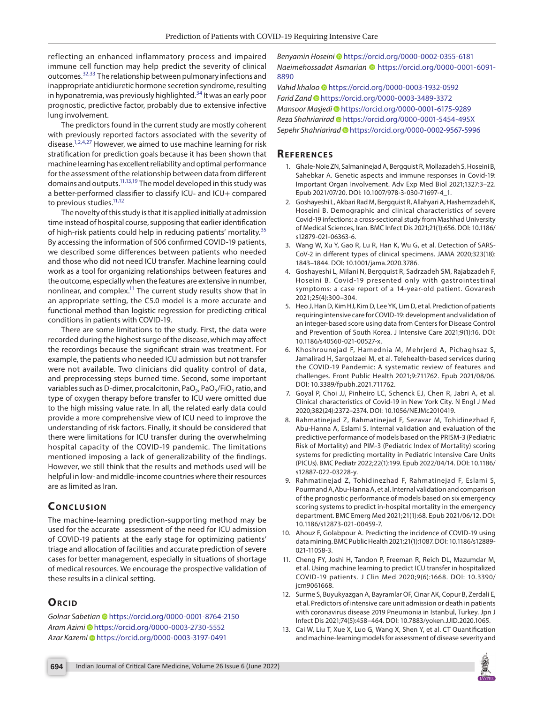reflecting an enhanced inflammatory process and impaired immune cell function may help predict the severity of clinical outcomes.[32,](#page-7-18)[33](#page-7-19) The relationship between pulmonary infections and inappropriate antidiuretic hormone secretion syndrome, resulting in hyponatremia, was previously highlighted. $34$  It was an early poor prognostic, predictive factor, probably due to extensive infective lung involvement.

The predictors found in the current study are mostly coherent with previously reported factors associated with the severity of disease.<sup>1,[2](#page-6-1)[,4,](#page-6-3)27</sup> However, we aimed to use machine learning for risk stratification for prediction goals because it has been shown that machine learning has excellent reliability and optimal performance for the assessment of the relationship between data from different domains and outputs[.11,](#page-6-10)[13,](#page-6-11)[19](#page-7-5) The model developed in this study was a better-performed classifier to classify ICU- and ICU+ compared to previous studies.<sup>11,[12](#page-6-12)</sup>

The novelty of this study is that it is applied initially at admission time instead of hospital course, supposing that earlier identification of high-risk patients could help in reducing patients' mortality.<sup>[35](#page-7-21)</sup> By accessing the information of 506 confirmed COVID-19 patients, we described some differences between patients who needed and those who did not need ICU transfer. Machine learning could work as a tool for organizing relationships between features and the outcome, especially when the features are extensive in number, nonlinear, and complex.<sup>11</sup> The current study results show that in an appropriate setting, the C5.0 model is a more accurate and functional method than logistic regression for predicting critical conditions in patients with COVID-19.

There are some limitations to the study. First, the data were recorded during the highest surge of the disease, which may affect the recordings because the significant strain was treatment. For example, the patients who needed ICU admission but not transfer were not available. Two clinicians did quality control of data, and preprocessing steps burned time. Second, some important variables such as D-dimer, procalcitonin,  $PaO<sub>2</sub>$ ,  $PaO<sub>2</sub>/FiO<sub>2</sub>$  ratio, and type of oxygen therapy before transfer to ICU were omitted due to the high missing value rate. In all, the related early data could provide a more comprehensive view of ICU need to improve the understanding of risk factors. Finally, it should be considered that there were limitations for ICU transfer during the overwhelming hospital capacity of the COVID-19 pandemic. The limitations mentioned imposing a lack of generalizability of the findings. However, we still think that the results and methods used will be helpful in low- and middle-income countries where their resources are as limited as Iran.

# **CONCLUSION**

The machine-learning prediction-supporting method may be used for the accurate assessment of the need for ICU admission of COVID-19 patients at the early stage for optimizing patients' triage and allocation of facilities and accurate prediction of severe cases for better management, especially in situations of shortage of medical resources. We encourage the prospective validation of these results in a clinical setting.

# **ORCID**

*Golnar Sabetian* [h](https://orcid.org/0000-0001-8764-2150)ttps://orcid.org/0000-0001-8764-2150 *Aram Azimi* [h](https://orcid.org/0000-0003-2730-5552)ttps://orcid.org/0000-0003-2730-5552 *Azar Kazemi* [h](https://orcid.org/0000-0003-3197-0491)ttps://orcid.org/0000-0003-3197-0491

*Benyamin Hoseini* [h](https://orcid.org/0000-0002-0355-6181)ttps://orcid.org/0000-0002-0355-6181 *Naeimehossadat Asmarian* https://orcid.org/0000-0001-6091- 8890

*Vahid khaloo* [h](https://orcid.org/0000-0003-1932-0592)ttps://orcid.org/0000-0003-1932-0592 *Farid Zan[d](https://orcid.org/0000-0003-3489-3372)* https://orcid.org/0000-0003-3489-3372 *Mansoor Masjedi* [h](https://orcid.org/0000-0001-6175-9289)ttps://orcid.org/0000-0001-6175-9289 *Reza Shahriarira[d](https://orcid.org/0000-0001-5454-495X)* https://orcid.org/0000-0001-5454-495X *Sepehr Shahriarirad* [h](https://orcid.org/0000-0002-9567-5996)ttps://orcid.org/0000-0002-9567-5996

## **Re f er enc es**

- <span id="page-6-0"></span>1. Ghale-Noie ZN, Salmaninejad A, Bergquist R, Mollazadeh S, Hoseini B, Sahebkar A. Genetic aspects and immune responses in Covid-19: Important Organ Involvement. Adv Exp Med Biol 2021;1327:3–22. Epub 2021/07/20. DOI: 10.1007/978-3-030-71697-4\_1.
- <span id="page-6-1"></span>2. Goshayeshi L, Akbari Rad M, Bergquist R, Allahyari A, Hashemzadeh K, Hoseini B. Demographic and clinical characteristics of severe Covid-19 infections: a cross-sectional study from Mashhad University of Medical Sciences, Iran. BMC Infect Dis 2021;21(1):656. DOI: 10.1186/ s12879-021-06363-6.
- <span id="page-6-2"></span>3. Wang W, Xu Y, Gao R, Lu R, Han K, Wu G, et al. Detection of SARS-CoV-2 in different types of clinical specimens. JAMA 2020;323(18): 1843–1844. DOI: 10.1001/jama.2020.3786.
- <span id="page-6-3"></span>4. Goshayeshi L, Milani N, Bergquist R, Sadrzadeh SM, Rajabzadeh F, Hoseini B. Covid-19 presented only with gastrointestinal symptoms: a case report of a 14-year-old patient. Govaresh 2021;25(4):300–304.
- <span id="page-6-4"></span>5. Heo J, Han D, Kim HJ, Kim D, Lee YK, Lim D, et al. Prediction of patients requiring intensive care for COVID-19: development and validation of an integer-based score using data from Centers for Disease Control and Prevention of South Korea. J Intensive Care 2021;9(1):16. DOI: 10.1186/s40560-021-00527-x.
- <span id="page-6-5"></span>6. Khoshrounejad F, Hamednia M, Mehrjerd A, Pichaghsaz S, Jamalirad H, Sargolzaei M, et al. Telehealth-based services during the COVID-19 Pandemic: A systematic review of features and challenges. Front Public Health 2021;9:711762. Epub 2021/08/06. DOI: 10.3389/fpubh.2021.711762.
- <span id="page-6-6"></span>7. Goyal P, Choi JJ, Pinheiro LC, Schenck EJ, Chen R, Jabri A, et al. Clinical characteristics of Covid-19 in New York City. N Engl J Med 2020;382(24):2372–2374. DOI: 10.1056/NEJMc2010419.
- <span id="page-6-7"></span>8. Rahmatinejad Z, Rahmatinejad F, Sezavar M, Tohidinezhad F, Abu-Hanna A, Eslami S. Internal validation and evaluation of the predictive performance of models based on the PRISM-3 (Pediatric Risk of Mortality) and PIM-3 (Pediatric Index of Mortality) scoring systems for predicting mortality in Pediatric Intensive Care Units (PICUs). BMC Pediatr 2022;22(1):199. Epub 2022/04/14. DOI: 10.1186/ s12887-022-03228-y.
- <span id="page-6-8"></span>9. Rahmatinejad Z, Tohidinezhad F, Rahmatinejad F, Eslami S, Pourmand A,Abu-Hanna A, et al. Internal validation and comparison of the prognostic performance of models based on six emergency scoring systems to predict in-hospital mortality in the emergency department. BMC Emerg Med 2021;21(1):68. Epub 2021/06/12. DOI: 10.1186/s12873-021-00459-7.
- <span id="page-6-9"></span>10. Ahouz F, Golabpour A. Predicting the incidence of COVID-19 using data mining. BMC Public Health 2021;21(1):1087. DOI: 10.1186/s12889- 021-11058-3.
- <span id="page-6-10"></span>11. Cheng FY, Joshi H, Tandon P, Freeman R, Reich DL, Mazumdar M, et al. Using machine learning to predict ICU transfer in hospitalized COVID-19 patients. J Clin Med 2020;9(6):1668. DOI: 10.3390/ jcm9061668.
- <span id="page-6-12"></span>12. Surme S, Buyukyazgan A, Bayramlar OF, Cinar AK, Copur B, Zerdali E, et al. Predictors of intensive care unit admission or death in patients with coronavirus disease 2019 Pneumonia in Istanbul, Turkey. Jpn J Infect Dis 2021;74(5):458–464. DOI: 10.7883/yoken.JJID.2020.1065.
- <span id="page-6-11"></span>13. Cai W, Liu T, Xue X, Luo G, Wang X, Shen Y, et al. CT Quantification and machine-learning models for assessment of disease severity and